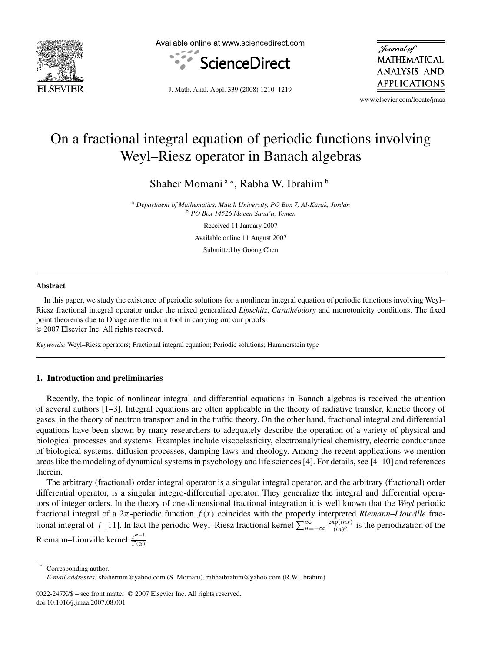

Available online at www.sciencedirect.com



Journal of **MATHEMATICAL** ANALYSIS AND APPLICATIONS

J. Math. Anal. Appl. 339 (2008) 1210–1219

www.elsevier.com/locate/jmaa

# On a fractional integral equation of periodic functions involving Weyl–Riesz operator in Banach algebras

Shaher Momani<sup>a,∗</sup>, Rabha W. Ibrahim<sup>b</sup>

<sup>a</sup> *Department of Mathematics, Mutah University, PO Box 7, Al-Karak, Jordan* <sup>b</sup> *PO Box 14526 Maeen Sana'a, Yemen*

Received 11 January 2007

Available online 11 August 2007

Submitted by Goong Chen

#### **Abstract**

In this paper, we study the existence of periodic solutions for a nonlinear integral equation of periodic functions involving Weyl– Riesz fractional integral operator under the mixed generalized *Lipschitz*, *Carathéodory* and monotonicity conditions. The fixed point theorems due to Dhage are the main tool in carrying out our proofs.

2007 Elsevier Inc. All rights reserved.

*Keywords:* Weyl–Riesz operators; Fractional integral equation; Periodic solutions; Hammerstein type

## **1. Introduction and preliminaries**

Recently, the topic of nonlinear integral and differential equations in Banach algebras is received the attention of several authors [1–3]. Integral equations are often applicable in the theory of radiative transfer, kinetic theory of gases, in the theory of neutron transport and in the traffic theory. On the other hand, fractional integral and differential equations have been shown by many researchers to adequately describe the operation of a variety of physical and biological processes and systems. Examples include viscoelasticity, electroanalytical chemistry, electric conductance of biological systems, diffusion processes, damping laws and rheology. Among the recent applications we mention areas like the modeling of dynamical systems in psychology and life sciences [4]. For details, see [4–10] and references therein.

The arbitrary (fractional) order integral operator is a singular integral operator, and the arbitrary (fractional) order differential operator, is a singular integro-differential operator. They generalize the integral and differential operators of integer orders. In the theory of one-dimensional fractional integration it is well known that the *Weyl* periodic fractional integral of a  $2\pi$ -periodic function  $f(x)$  coincides with the properly interpreted *Riemann–Liouville* fractional integral of f [11]. In fact the periodic Weyl–Riesz fractional kernel  $\sum_{n=-\infty}^{\infty} \frac{\exp(inx)}{(in)^{\alpha}}$  is the periodization of the Riemann–Liouville kernel  $\frac{x^{\alpha-1}}{\Gamma(\alpha)}$ .

Corresponding author.

*E-mail addresses:* shahermm@yahoo.com (S. Momani), rabhaibrahim@yahoo.com (R.W. Ibrahim).

<sup>0022-247</sup>X/\$ – see front matter © 2007 Elsevier Inc. All rights reserved. doi:10.1016/j.jmaa.2007.08.001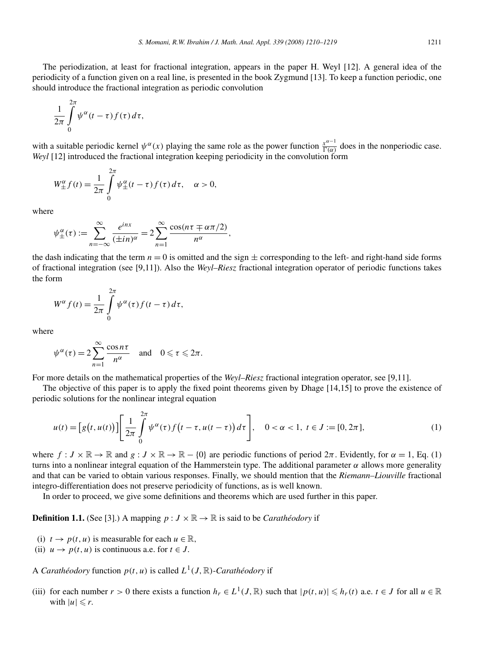$$
\frac{1}{2\pi}\int\limits_{0}^{2\pi}\psi^{\alpha}(t-\tau)f(\tau)\,d\tau,
$$

with a suitable periodic kernel  $\psi^{\alpha}(x)$  playing the same role as the power function  $\frac{x^{\alpha-1}}{\Gamma(\alpha)}$  does in the nonperiodic case. *Weyl* [12] introduced the fractional integration keeping periodicity in the convolution form

$$
W_{\pm}^{\alpha}f(t) = \frac{1}{2\pi} \int_{0}^{2\pi} \psi_{\pm}^{\alpha}(t-\tau) f(\tau) d\tau, \quad \alpha > 0,
$$

where

$$
\psi_{\pm}^{\alpha}(\tau) := \sum_{n=-\infty}^{\infty} \frac{e^{inx}}{(\pm in)^{\alpha}} = 2 \sum_{n=1}^{\infty} \frac{\cos(n\tau \mp \alpha\pi/2)}{n^{\alpha}},
$$

the dash indicating that the term  $n = 0$  is omitted and the sign  $\pm$  corresponding to the left- and right-hand side forms of fractional integration (see [9,11]). Also the *Weyl–Riesz* fractional integration operator of periodic functions takes the form

$$
W^{\alpha} f(t) = \frac{1}{2\pi} \int_{0}^{2\pi} \psi^{\alpha}(\tau) f(t - \tau) d\tau,
$$

where

$$
\psi^{\alpha}(\tau) = 2 \sum_{n=1}^{\infty} \frac{\cos n\tau}{n^{\alpha}} \quad \text{and} \quad 0 \leq \tau \leq 2\pi.
$$

For more details on the mathematical properties of the *Weyl–Riesz* fractional integration operator, see [9,11].

The objective of this paper is to apply the fixed point theorems given by Dhage [14,15] to prove the existence of periodic solutions for the nonlinear integral equation

$$
u(t) = [g(t, u(t))] \left[ \frac{1}{2\pi} \int_{0}^{2\pi} \psi^{\alpha}(\tau) f(t - \tau, u(t - \tau)) d\tau \right], \quad 0 < \alpha < 1, t \in J := [0, 2\pi],
$$
 (1)

where  $f: J \times \mathbb{R} \to \mathbb{R}$  and  $g: J \times \mathbb{R} \to \mathbb{R} - \{0\}$  are periodic functions of period  $2\pi$ . Evidently, for  $\alpha = 1$ , Eq. (1) turns into a nonlinear integral equation of the Hammerstein type. The additional parameter  $\alpha$  allows more generality and that can be varied to obtain various responses. Finally, we should mention that the *Riemann–Liouville* fractional integro-differentiation does not preserve periodicity of functions, as is well known.

In order to proceed, we give some definitions and theorems which are used further in this paper.

**Definition 1.1.** (See [3].) A mapping  $p: J \times \mathbb{R} \to \mathbb{R}$  is said to be *Carathéodory* if

- (i)  $t \to p(t, u)$  is measurable for each  $u \in \mathbb{R}$ ,
- (ii)  $u \to p(t, u)$  is continuous a.e. for  $t \in J$ .

A *Carathéodory* function  $p(t, u)$  is called  $L^1(J, \mathbb{R})$ -*Carathéodory* if

(iii) for each number  $r > 0$  there exists a function  $h_r \in L^1(J, \mathbb{R})$  such that  $|p(t, u)| \leq h_r(t)$  a.e.  $t \in J$  for all  $u \in \mathbb{R}$ with  $|u| \leq r$ .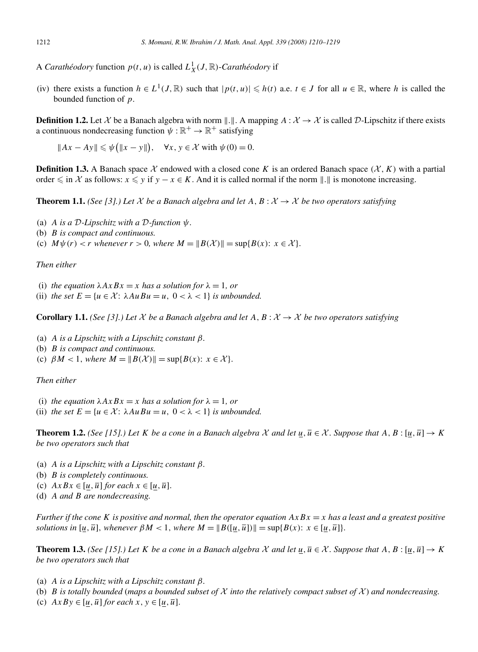A *Carathéodory* function  $p(t, u)$  is called  $L_X^1(J, \mathbb{R})$ -*Carathéodory* if

(iv) there exists a function  $h \in L^1(J, \mathbb{R})$  such that  $|p(t, u)| \leq h(t)$  a.e.  $t \in J$  for all  $u \in \mathbb{R}$ , where h is called the bounded function of p.

**Definition 1.2.** Let X be a Banach algebra with norm  $\Vert . \Vert .$  A mapping  $A : \mathcal{X} \to \mathcal{X}$  is called D-Lipschitz if there exists a continuous nondecreasing function  $\psi : \mathbb{R}^+ \to \mathbb{R}^+$  satisfying

 $||Ax - Ay|| \le \psi(||x - y||), \quad \forall x, y \in \mathcal{X}$  with  $\psi(0) = 0$ .

**Definition 1.3.** A Banach space  $\mathcal X$  endowed with a closed cone K is an ordered Banach space  $(\mathcal X, K)$  with a partial order  $\leq$  in X as follows:  $x \leq y$  if  $y - x \in K$ . And it is called normal if the norm  $\|.\|$  is monotone increasing.

**Theorem 1.1.** *(See [3].) Let*  $X$  *be a Banach algebra and let*  $A, B: X \rightarrow X$  *be two operators satisfying* 

- (a) A *is a* D*-Lipschitz with a* D*-function* ψ.
- (b) B *is compact and continuous.*
- (c)  $M\psi(r) < r$  *whenever*  $r > 0$ *, where*  $M = ||B(\mathcal{X})|| = \sup\{B(x): x \in \mathcal{X}\}.$

*Then either*

(i) *the equation*  $\lambda AxBx = x$  *has a solution for*  $\lambda = 1$ *, or* 

(ii) *the set*  $E = \{u \in \mathcal{X} : \lambda A u B u = u, 0 < \lambda < 1\}$  *is unbounded.* 

**Corollary 1.1.** *(See [3].) Let*  $X$  *be a Banach algebra and let*  $A, B : X \rightarrow X$  *be two operators satisfying* 

- (a) A *is a Lipschitz with a Lipschitz constant* β.
- (b) B *is compact and continuous.*
- (c)  $\beta M < 1$ , where  $M = ||B(\mathcal{X})|| = \sup\{B(x): x \in \mathcal{X}\}.$

*Then either*

- (i) *the equation*  $\lambda AxBx = x$  *has a solution for*  $\lambda = 1$ *, or*
- (ii) *the set*  $E = \{u \in \mathcal{X} : \lambda AuBu = u, 0 < \lambda < 1\}$  *is unbounded.*

**Theorem 1.2.** *(See [15].) Let* K *be a cone in a Banach algebra* X *and let*  $u, \overline{u} \in \mathcal{X}$ . *Suppose that*  $A, B : [u, \overline{u}] \to K$ *be two operators such that*

- (a) A *is a Lipschitz with a Lipschitz constant* β.
- (b) B *is completely continuous.*
- (c)  $AxBx \in [u, \overline{u}]$  *for each*  $x \in [u, \overline{u}]$ .
- (d) A *and* B *are nondecreasing.*

*Further if the cone* K *is positive and normal, then the operator equation* AxBx = x *has a least and a greatest positive solutions in*  $[u, \overline{u}]$ , *whenever*  $\beta M < 1$ , *where*  $M = ||B([\overline{u}, \overline{u}])|| = \sup\{B(x): x \in [u, \overline{u}]\}.$ 

**Theorem 1.3.** *(See [15].) Let* K *be a cone in a Banach algebra* X *and let*  $u, \overline{u} \in \mathcal{X}$ . *Suppose that*  $A, B : [u, \overline{u}] \to K$ *be two operators such that*

- (a) A *is a Lipschitz with a Lipschitz constant* β.
- (b) B is totally bounded (maps a bounded subset of  $X$  into the relatively compact subset of  $X$ ) and nondecreasing.
- (c)  $AxBy \in [u, \overline{u}]$  *for each*  $x, y \in [u, \overline{u}]$ .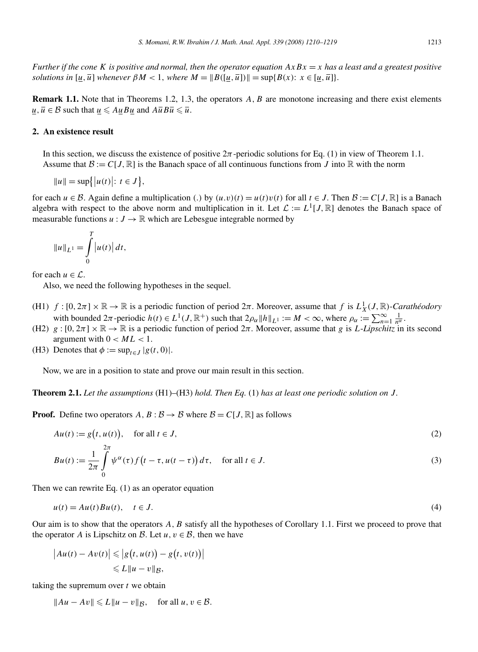*Further if the cone* K *is positive and normal, then the operator equation*  $AxBx = x$  *has a least and a greatest positive solutions in*  $[u,\overline{u}]$  *whenever*  $\beta M < 1$ *, where*  $M = ||B([u,\overline{u}])|| = \sup\{B(x): x \in [u,\overline{u}]\}.$ 

**Remark 1.1.** Note that in Theorems 1.2, 1.3, the operators A, B are monotone increasing and there exist elements  $\underline{u}, \overline{u} \in \mathcal{B}$  such that  $\underline{u} \leq A \underline{u} B \underline{u}$  and  $A \overline{u} B \overline{u} \leq \overline{u}$ .

#### **2. An existence result**

In this section, we discuss the existence of positive  $2\pi$ -periodic solutions for Eq. (1) in view of Theorem 1.1. Assume that  $\mathcal{B} := C[J, \mathbb{R}]$  is the Banach space of all continuous functions from J into  $\mathbb{R}$  with the norm

 $||u|| = \sup{ |u(t)| : t \in J |,$ 

for each  $u \in \mathcal{B}$ . Again define a multiplication (.) by  $(u \cdot v)(t) = u(t)v(t)$  for all  $t \in J$ . Then  $\mathcal{B} := C[J, \mathbb{R}]$  is a Banach algebra with respect to the above norm and multiplication in it. Let  $\mathcal{L} := L^1[J, \mathbb{R}]$  denotes the Banach space of measurable functions  $u : J \to \mathbb{R}$  which are Lebesgue integrable normed by

$$
||u||_{L^{1}} = \int_{0}^{T} |u(t)| dt,
$$

for each  $u \in \mathcal{L}$ .

Also, we need the following hypotheses in the sequel.

- (H1)  $f:[0,2\pi]\times\mathbb{R}\to\mathbb{R}$  is a periodic function of period  $2\pi$ . Moreover, assume that f is  $L_X^1(J,\mathbb{R})$ -*Carathéodory* with bounded  $2\pi$ -periodic  $h(t) \in L^1(J, \mathbb{R}^+)$  such that  $2\rho_\alpha \|h\|_{L^1} := M < \infty$ , where  $\rho_\alpha := \sum_{n=1}^\infty \frac{1}{n^\alpha}$ .
- (H2)  $g : [0, 2\pi] \times \mathbb{R} \to \mathbb{R}$  is a periodic function of period  $2\pi$ . Moreover, assume that g is L-Lipschitz in its second argument with  $0 < ML < 1$ .
- (H3) Denotes that  $\phi := \sup_{t \in J} |g(t, 0)|$ .

Now, we are in a position to state and prove our main result in this section.

**Theorem 2.1.** *Let the assumptions* (H1)–(H3) *hold. Then Eq.* (1) *has at least one periodic solution on* J.

**Proof.** Define two operators  $A, B: B \to B$  where  $B = C[J, \mathbb{R}]$  as follows

$$
Au(t) := g(t, u(t)), \quad \text{for all } t \in J,
$$
\n<sup>(2)</sup>

$$
Bu(t) := \frac{1}{2\pi} \int_{0}^{2\pi} \psi^{\alpha}(\tau) f\left(t - \tau, u(t - \tau)\right) d\tau, \quad \text{for all } t \in J.
$$
 (3)

Then we can rewrite Eq. (1) as an operator equation

$$
u(t) = Au(t)Bu(t), \quad t \in J.
$$
\n<sup>(4)</sup>

Our aim is to show that the operators  $A, B$  satisfy all the hypotheses of Corollary 1.1. First we proceed to prove that the operator A is Lipschitz on B. Let  $u, v \in \mathcal{B}$ , then we have

$$
\begin{aligned} \left| Au(t) - Av(t) \right| &\leq \left| g\big(t, u(t)\big) - g\big(t, v(t)\big) \right| \\ &\leq L \| u - v \|_{\mathcal{B}}, \end{aligned}
$$

taking the supremum over  $t$  we obtain

 $||Au - Av|| \le L ||u - v||_{\mathcal{B}}$ , for all  $u, v \in \mathcal{B}$ .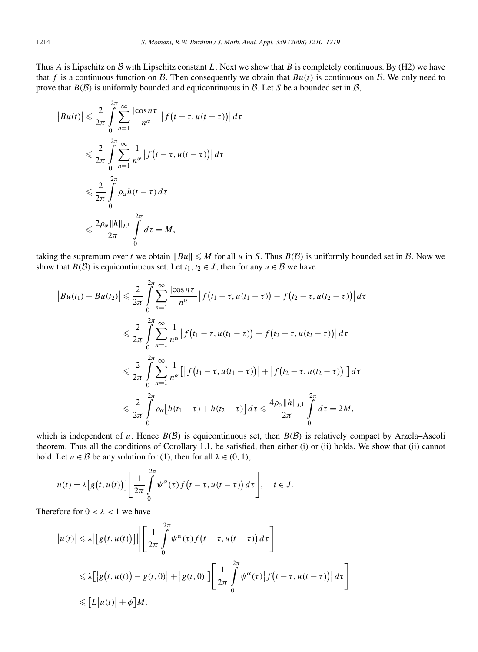Thus A is Lipschitz on B with Lipschitz constant L. Next we show that B is completely continuous. By (H2) we have that f is a continuous function on B. Then consequently we obtain that  $Bu(t)$  is continuous on B. We only need to prove that  $B(\mathcal{B})$  is uniformly bounded and equicontinuous in  $\mathcal{B}$ . Let S be a bounded set in  $\mathcal{B}$ ,

$$
\begin{aligned} \left| Bu(t) \right| &\leq \frac{2}{2\pi} \int_{0}^{2\pi} \sum_{n=1}^{\infty} \frac{\left| \cos n\tau \right|}{n^{\alpha}} \left| f\left(t - \tau, u(t - \tau)\right) \right| d\tau \\ &\leq \frac{2}{2\pi} \int_{0}^{2\pi} \sum_{n=1}^{\infty} \frac{1}{n^{\alpha}} \left| f\left(t - \tau, u(t - \tau)\right) \right| d\tau \\ &\leq \frac{2}{2\pi} \int_{0}^{2\pi} \rho_{\alpha} h(t - \tau) d\tau \\ &\leq \frac{2\rho_{\alpha} \|h\|_{L^{1}}}{2\pi} \int_{0}^{2\pi} d\tau = M, \end{aligned}
$$

taking the supremum over t we obtain  $||Bu|| \le M$  for all u in S. Thus  $B(\mathcal{B})$  is uniformly bounded set in  $\mathcal{B}$ . Now we show that  $B(\mathcal{B})$  is equicontinuous set. Let  $t_1, t_2 \in J$ , then for any  $u \in \mathcal{B}$  we have

$$
\begin{split} \left| Bu(t_{1}) - Bu(t_{2}) \right| &\leq \frac{2}{2\pi} \int_{0}^{2\pi} \sum_{n=1}^{\infty} \frac{\left| \cos n\tau \right|}{n^{\alpha}} \left| f(t_{1} - \tau, u(t_{1} - \tau)) - f(t_{2} - \tau, u(t_{2} - \tau)) \right| d\tau \\ &\leq \frac{2}{2\pi} \int_{0}^{2\pi} \sum_{n=1}^{\infty} \frac{1}{n^{\alpha}} \left| f(t_{1} - \tau, u(t_{1} - \tau)) + f(t_{2} - \tau, u(t_{2} - \tau)) \right| d\tau \\ &\leq \frac{2}{2\pi} \int_{0}^{2\pi} \sum_{n=1}^{\infty} \frac{1}{n^{\alpha}} \left[ \left| f(t_{1} - \tau, u(t_{1} - \tau)) \right| + \left| f(t_{2} - \tau, u(t_{2} - \tau)) \right| \right] d\tau \\ &\leq \frac{2}{2\pi} \int_{0}^{2\pi} \rho_{\alpha} \left[ h(t_{1} - \tau) + h(t_{2} - \tau) \right] d\tau \leq \frac{4\rho_{\alpha} \|h\|_{L^{1}}}{2\pi} \int_{0}^{2\pi} d\tau = 2M, \end{split}
$$

which is independent of u. Hence  $B(\mathcal{B})$  is equicontinuous set, then  $B(\mathcal{B})$  is relatively compact by Arzela–Ascoli theorem. Thus all the conditions of Corollary 1.1, be satisfied, then either (i) or (ii) holds. We show that (ii) cannot hold. Let  $u \in \mathcal{B}$  be any solution for (1), then for all  $\lambda \in (0, 1)$ ,

$$
u(t) = \lambda \Big[ g\big(t, u(t)\big) \Big] \Bigg[ \frac{1}{2\pi} \int_{0}^{2\pi} \psi^{\alpha}(\tau) f\big(t - \tau, u(t - \tau)\big) d\tau \Bigg], \quad t \in J.
$$

Therefore for  $0 < \lambda < 1$  we have

$$
\begin{aligned} \left| u(t) \right| &\leq \lambda \left| \left[ g\bigl( t, u(t) \bigr) \right] \right| \left| \left[ \frac{1}{2\pi} \int_{0}^{2\pi} \psi^{\alpha}(\tau) f\bigl( t - \tau, u(t - \tau) \bigr) d\tau \right] \right| \\ &\leq \lambda \left[ \left| g\bigl( t, u(t) \bigr) - g(t, 0) \right| + \left| g(t, 0) \right| \right] \left[ \frac{1}{2\pi} \int_{0}^{2\pi} \psi^{\alpha}(\tau) \left| f\bigl( t - \tau, u(t - \tau) \bigr) \right| d\tau \right] \\ &\leq \left[ L \left| u(t) \right| + \phi \right] M. \end{aligned}
$$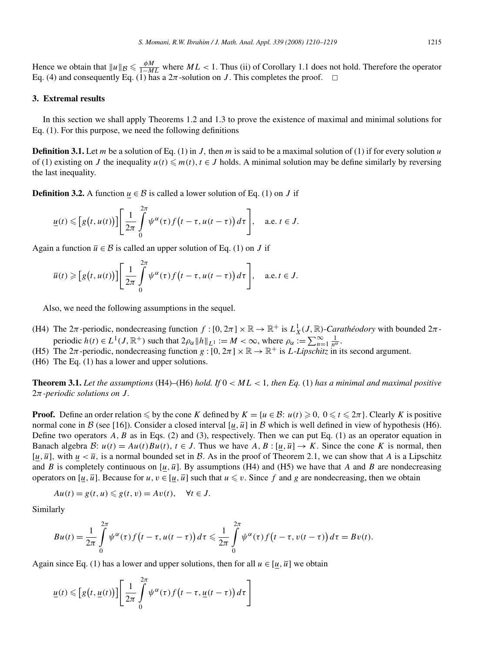Hence we obtain that  $||u||_B \le \frac{\phi M}{1-ML}$  where  $ML < 1$ . Thus (ii) of Corollary 1.1 does not hold. Therefore the operator Eq. (4) and consequently Eq. (1) has a  $2\pi$ -solution on J. This completes the proof.  $\Box$ 

#### **3. Extremal results**

In this section we shall apply Theorems 1.2 and 1.3 to prove the existence of maximal and minimal solutions for Eq. (1). For this purpose, we need the following definitions

**Definition 3.1.** Let m be a solution of Eq. (1) in J, then m is said to be a maximal solution of (1) if for every solution u of (1) existing on J the inequality  $u(t) \leq m(t)$ ,  $t \in J$  holds. A minimal solution may be define similarly by reversing the last inequality.

**Definition 3.2.** A function  $u \in \mathcal{B}$  is called a lower solution of Eq. (1) on J if

$$
\underline{u}(t) \leqslant \Big[g(t,u(t))\Big]\Bigg[\frac{1}{2\pi}\int\limits_{0}^{2\pi}\psi^{\alpha}(\tau)f\big(t-\tau,u(t-\tau)\big)\,d\tau\Bigg],\quad\text{a.e. }t\in J.
$$

Again a function  $\overline{u} \in \mathcal{B}$  is called an upper solution of Eq. (1) on J if

$$
\overline{u}(t) \geqslant \Big[g(t,u(t))\Big]\Bigg[\frac{1}{2\pi}\int\limits_{0}^{2\pi}\psi^{\alpha}(\tau)f\big(t-\tau,u(t-\tau)\big)d\tau\Bigg], \quad \text{a.e. } t \in J.
$$

Also, we need the following assumptions in the sequel.

- (H4) The  $2\pi$ -periodic, nondecreasing function  $f:[0,2\pi]\times\mathbb{R}\to\mathbb{R}^+$  is  $L^1_X(J,\mathbb{R})$ -*Carathéodory* with bounded  $2\pi$ periodic  $h(t) \in L^1(J, \mathbb{R}^+)$  such that  $2\rho_\alpha \|h\|_{L^1} := M < \infty$ , where  $\rho_\alpha := \sum_{n=1}^\infty \frac{1}{n^\alpha}$ .
- (H5) The  $2\pi$ -periodic, nondecreasing function  $g:[0,2\pi]\times\mathbb{R}\to\mathbb{R}^+$  is *L*-*Lipschitz* in its second argument.

(H6) The Eq. (1) has a lower and upper solutions.

**Theorem 3.1.** Let the assumptions  $(H4)$ – $(H6)$  *hold. If*  $0 < ML < 1$ , then Eq. (1) has a minimal and maximal positive 2π*-periodic solutions on* J.

**Proof.** Define an order relation  $\leq$  by the cone K defined by  $K = \{u \in \mathcal{B} : u(t) \geq 0, 0 \leq t \leq 2\pi\}$ . Clearly K is positive normal cone in B (see [16]). Consider a closed interval [u,  $\overline{u}$ ] in B which is well defined in view of hypothesis (H6). Define two operators  $A, B$  as in Eqs. (2) and (3), respectively. Then we can put Eq. (1) as an operator equation in Banach algebra B:  $u(t) = Au(t)Bu(t)$ ,  $t \in J$ . Thus we have  $A, B : [u, \overline{u}] \to K$ . Since the cone K is normal, then [u,  $\overline{u}$ ], with  $u < \overline{u}$ , is a normal bounded set in B. As in the proof of Theorem 2.1, we can show that A is a Lipschitz and B is completely continuous on  $[u, \bar{u}]$ . By assumptions (H4) and (H5) we have that A and B are nondecreasing operators on [ $u$ ,  $\overline{u}$ ]. Because for  $u, v \in [\underline{u}, \overline{u}]$  such that  $u \leq v$ . Since f and g are nondecreasing, then we obtain

$$
Au(t) = g(t, u) \leq g(t, v) = Av(t), \quad \forall t \in J.
$$

Similarly

$$
Bu(t) = \frac{1}{2\pi} \int\limits_{0}^{2\pi} \psi^{\alpha}(\tau) f\big(t - \tau, u(t - \tau)\big) d\tau \leq \frac{1}{2\pi} \int\limits_{0}^{2\pi} \psi^{\alpha}(\tau) f\big(t - \tau, v(t - \tau)\big) d\tau = Bv(t).
$$

Again since Eq. (1) has a lower and upper solutions, then for all  $u \in [u, \bar{u}]$  we obtain

$$
\underline{u}(t) \leqslant \left[g\big(t, \underline{u}(t)\big)\right] \left[\frac{1}{2\pi} \int\limits_{0}^{2\pi} \psi^{\alpha}(\tau) f\big(t-\tau, \underline{u}(t-\tau)\big) d\tau\right]
$$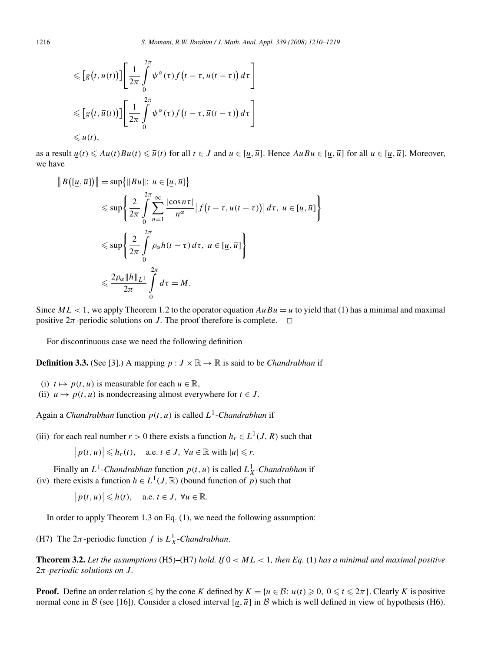$$
\leqslant \left[g\left(t, u(t)\right)\right] \left[\frac{1}{2\pi} \int\limits_{0}^{2\pi} \psi^{\alpha}(\tau) f\left(t - \tau, u(t - \tau)\right) d\tau\right]
$$
  

$$
\leqslant \left[g\left(t, \overline{u}(t)\right)\right] \left[\frac{1}{2\pi} \int\limits_{0}^{2\pi} \psi^{\alpha}(\tau) f\left(t - \tau, \overline{u}(t - \tau)\right) d\tau\right]
$$
  

$$
\leqslant \overline{u}(t),
$$

as a result  $\underline{u}(t) \leq A u(t)Bu(t) \leq \overline{u}(t)$  for all  $t \in J$  and  $u \in [\underline{u}, \overline{u}]$ . Hence  $AuBu \in [\underline{u}, \overline{u}]$  for all  $u \in [\underline{u}, \overline{u}]$ . Moreover, we have

$$
\|B([\underline{u}, \overline{u}])\| = \sup \{ \|Bu\|: u \in [\underline{u}, \overline{u}] \}
$$
  
\n
$$
\leq \sup \left\{ \frac{2}{2\pi} \int_{0}^{2\pi} \sum_{n=1}^{\infty} \frac{|\cos n\tau|}{n^{\alpha}} |f(t - \tau, u(t - \tau))| d\tau, u \in [\underline{u}, \overline{u}] \right\}
$$
  
\n
$$
\leq \sup \left\{ \frac{2}{2\pi} \int_{0}^{2\pi} \rho_{\alpha} h(t - \tau) d\tau, u \in [\underline{u}, \overline{u}] \right\}
$$
  
\n
$$
\leq \frac{2\rho_{\alpha} \|h\|_{L^{1}}}{2\pi} \int_{0}^{2\pi} d\tau = M.
$$

Since  $ML < 1$ , we apply Theorem 1.2 to the operator equation  $AuBu = u$  to yield that (1) has a minimal and maximal positive  $2\pi$ -periodic solutions on J. The proof therefore is complete.  $\Box$ 

For discontinuous case we need the following definition

**Definition 3.3.** (See [3].) A mapping  $p: J \times \mathbb{R} \to \mathbb{R}$  is said to be *Chandrabhan* if

- (i)  $t \mapsto p(t, u)$  is measurable for each  $u \in \mathbb{R}$ ,
- (ii)  $u \mapsto p(t, u)$  is nondecreasing almost everywhere for  $t \in J$ .

Again a *Chandrabhan* function  $p(t, u)$  is called  $L<sup>1</sup>$ -*Chandrabhan* if

(iii) for each real number  $r > 0$  there exists a function  $h_r \in L^1(J, R)$  such that

$$
\big|p(t,u)\big|\leqslant h_r(t), \quad \text{a.e. } t\in J, \ \forall u\in\mathbb{R} \text{ with } |u|\leqslant r.
$$

Finally an  $L^1$ -*Chandrabhan* function  $p(t, u)$  is called  $L^1_X$ -*Chandrabhan* if (iv) there exists a function  $h \in L^1(J, \mathbb{R})$  (bound function of p) such that

 $|p(t, u)| \le h(t)$ , a.e.  $t \in J$ ,  $\forall u \in \mathbb{R}$ .

In order to apply Theorem 1.3 on Eq. (1), we need the following assumption:

(H7) The  $2\pi$ -periodic function f is  $L^1_X$ -*Chandrabhan*.

**Theorem 3.2.** Let the assumptions  $(H5)$ – $(H7)$  *hold. If*  $0 < ML < 1$ , then Eq. (1) has a minimal and maximal positive 2π*-periodic solutions on* J.

**Proof.** Define an order relation  $\leq$  by the cone K defined by  $K = \{u \in \mathcal{B} : u(t) \geq 0, 0 \leq t \leq 2\pi\}$ . Clearly K is positive normal cone in B (see [16]). Consider a closed interval [u,  $\overline{u}$ ] in B which is well defined in view of hypothesis (H6).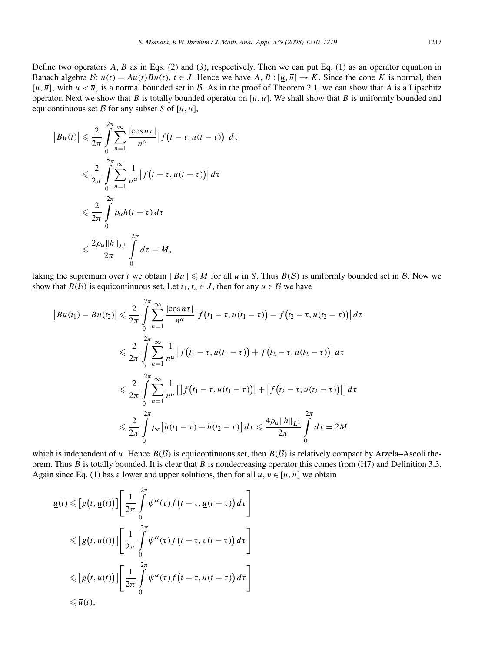Define two operators  $A, B$  as in Eqs. (2) and (3), respectively. Then we can put Eq. (1) as an operator equation in Banach algebra B:  $u(t) = Au(t)Bu(t)$ ,  $t \in J$ . Hence we have  $A, B : [u, \bar{u}] \to K$ . Since the cone K is normal, then [u,  $\overline{u}$ ], with  $u < \overline{u}$ , is a normal bounded set in B. As in the proof of Theorem 2.1, we can show that A is a Lipschitz operator. Next we show that B is totally bounded operator on  $[u, \overline{u}]$ . We shall show that B is uniformly bounded and equicontinuous set B for any subset S of  $[u, \overline{u}]$ ,

$$
|Bu(t)| \leq \frac{2}{2\pi} \int_{0}^{2\pi} \sum_{n=1}^{\infty} \frac{|\cos n\tau|}{n^{\alpha}} |f(t - \tau, u(t - \tau))| d\tau
$$
  

$$
\leq \frac{2}{2\pi} \int_{0}^{2\pi} \sum_{n=1}^{\infty} \frac{1}{n^{\alpha}} |f(t - \tau, u(t - \tau))| d\tau
$$
  

$$
\leq \frac{2}{2\pi} \int_{0}^{2\pi} \rho_{\alpha} h(t - \tau) d\tau
$$
  

$$
\leq \frac{2\rho_{\alpha} ||h||_{L^{1}}}{2\pi} \int_{0}^{2\pi} d\tau = M,
$$

taking the supremum over t we obtain  $||Bu|| \le M$  for all u in S. Thus  $B(\mathcal{B})$  is uniformly bounded set in  $\mathcal{B}$ . Now we show that  $B(\mathcal{B})$  is equicontinuous set. Let  $t_1, t_2 \in J$ , then for any  $u \in \mathcal{B}$  we have

$$
\begin{split}\n|Bu(t_1) - Bu(t_2)| &\leq \frac{2}{2\pi} \int_{0}^{2\pi} \sum_{n=1}^{\infty} \frac{|\cos n\tau|}{n^{\alpha}} \left| f(t_1 - \tau, u(t_1 - \tau)) - f(t_2 - \tau, u(t_2 - \tau)) \right| d\tau \\
&\leq \frac{2}{2\pi} \int_{0}^{2\pi} \sum_{n=1}^{\infty} \frac{1}{n^{\alpha}} \left| f(t_1 - \tau, u(t_1 - \tau)) + f(t_2 - \tau, u(t_2 - \tau)) \right| d\tau \\
&\leq \frac{2}{2\pi} \int_{0}^{2\pi} \sum_{n=1}^{\infty} \frac{1}{n^{\alpha}} \left[ \left| f(t_1 - \tau, u(t_1 - \tau)) \right| + \left| f(t_2 - \tau, u(t_2 - \tau)) \right| \right] d\tau \\
&\leq \frac{2}{2\pi} \int_{0}^{2\pi} \rho_{\alpha} \left[ h(t_1 - \tau) + h(t_2 - \tau) \right] d\tau \leq \frac{4\rho_{\alpha} \|h\|_{L^1}}{2\pi} \int_{0}^{2\pi} d\tau = 2M,\n\end{split}
$$

which is independent of u. Hence  $B(\mathcal{B})$  is equicontinuous set, then  $B(\mathcal{B})$  is relatively compact by Arzela–Ascoli theorem. Thus B is totally bounded. It is clear that B is nondecreasing operator this comes from  $(H7)$  and Definition 3.3. Again since Eq. (1) has a lower and upper solutions, then for all  $u, v \in [u, \overline{u}]$  we obtain

$$
\underline{u}(t) \leq [g(t, \underline{u}(t))] \left[ \frac{1}{2\pi} \int_{0}^{2\pi} \psi^{\alpha}(\tau) f(t - \tau, \underline{u}(t - \tau)) d\tau \right]
$$
  
\n
$$
\leq [g(t, u(t))] \left[ \frac{1}{2\pi} \int_{0}^{2\pi} \psi^{\alpha}(\tau) f(t - \tau, v(t - \tau)) d\tau \right]
$$
  
\n
$$
\leq [g(t, \overline{u}(t))] \left[ \frac{1}{2\pi} \int_{0}^{2\pi} \psi^{\alpha}(\tau) f(t - \tau, \overline{u}(t - \tau)) d\tau \right]
$$
  
\n
$$
\leq \overline{u}(t),
$$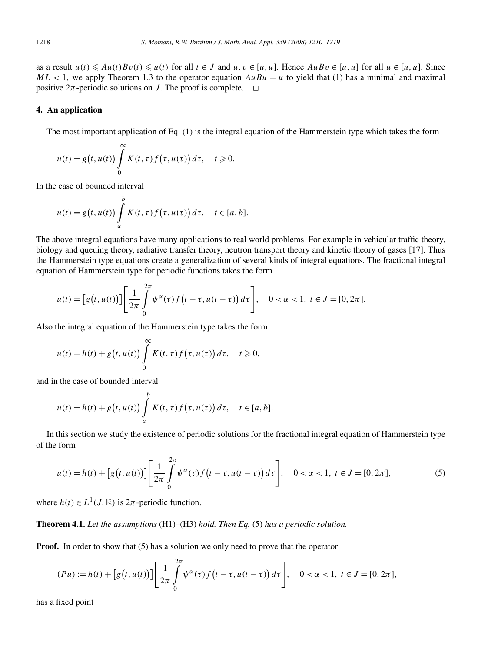as a result  $u(t) \leq Au(t)Bv(t) \leq \overline{u}(t)$  for all  $t \in J$  and  $u, v \in [\underline{u}, \overline{u}]$ . Hence  $AuBv \in [\underline{u}, \overline{u}]$  for all  $u \in [\underline{u}, \overline{u}]$ . Since  $ML < 1$ , we apply Theorem 1.3 to the operator equation  $AuBu = u$  to yield that (1) has a minimal and maximal positive  $2\pi$ -periodic solutions on J. The proof is complete.  $\Box$ 

### **4. An application**

The most important application of Eq. (1) is the integral equation of the Hammerstein type which takes the form

$$
u(t) = g(t, u(t)) \int_{0}^{\infty} K(t, \tau) f(\tau, u(\tau)) d\tau, \quad t \geq 0.
$$

In the case of bounded interval

$$
u(t) = g(t, u(t)) \int_a^b K(t, \tau) f(\tau, u(\tau)) d\tau, \quad t \in [a, b].
$$

The above integral equations have many applications to real world problems. For example in vehicular traffic theory, biology and queuing theory, radiative transfer theory, neutron transport theory and kinetic theory of gases [17]. Thus the Hammerstein type equations create a generalization of several kinds of integral equations. The fractional integral equation of Hammerstein type for periodic functions takes the form

$$
u(t) = [g(t, u(t))] \left[ \frac{1}{2\pi} \int_{0}^{2\pi} \psi^{\alpha}(\tau) f(t - \tau, u(t - \tau)) d\tau \right], \quad 0 < \alpha < 1, t \in J = [0, 2\pi].
$$

Also the integral equation of the Hammerstein type takes the form

$$
u(t) = h(t) + g(t, u(t)) \int_{0}^{\infty} K(t, \tau) f(\tau, u(\tau)) d\tau, \quad t \geq 0,
$$

and in the case of bounded interval

$$
u(t) = h(t) + g(t, u(t)) \int_a^b K(t, \tau) f(\tau, u(\tau)) d\tau, \quad t \in [a, b].
$$

In this section we study the existence of periodic solutions for the fractional integral equation of Hammerstein type of the form

$$
u(t) = h(t) + [g(t, u(t))] \left[ \frac{1}{2\pi} \int_{0}^{2\pi} \psi^{\alpha}(\tau) f(t - \tau, u(t - \tau)) d\tau \right], \quad 0 < \alpha < 1, t \in J = [0, 2\pi],
$$
 (5)

where  $h(t) \in L^1(J, \mathbb{R})$  is  $2\pi$ -periodic function.

**Theorem 4.1.** *Let the assumptions* (H1)–(H3) *hold. Then Eq.* (5) *has a periodic solution.*

**Proof.** In order to show that (5) has a solution we only need to prove that the operator

$$
(Pu) := h(t) + [g(t, u(t))] \left[ \frac{1}{2\pi} \int_{0}^{2\pi} \psi^{\alpha}(\tau) f(t - \tau, u(t - \tau)) d\tau \right], \quad 0 < \alpha < 1, t \in J = [0, 2\pi],
$$

has a fixed point